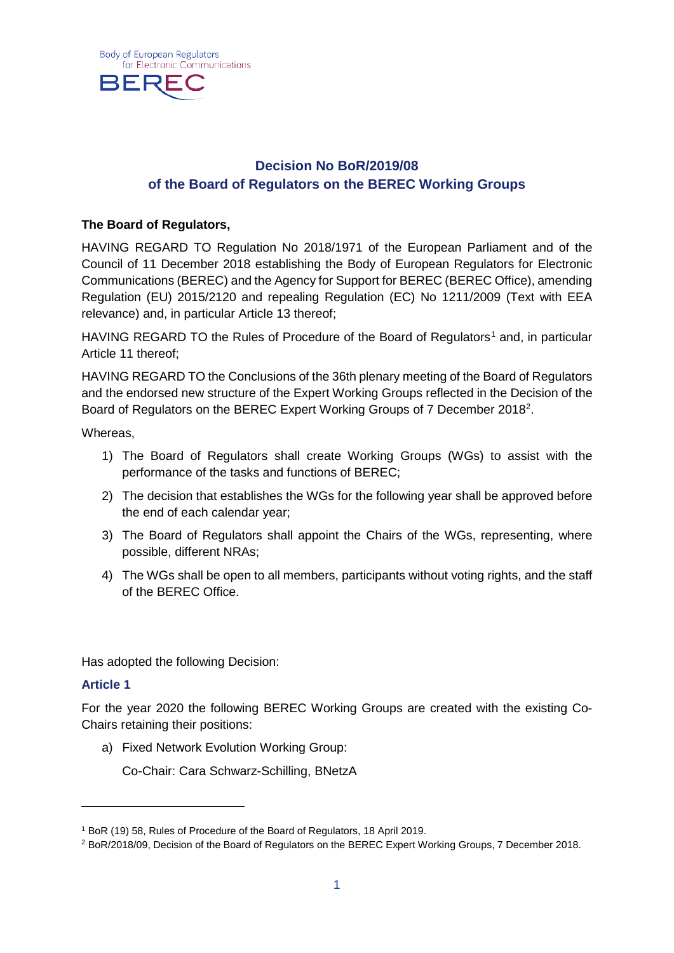

## **Decision No BoR/2019/08 of the Board of Regulators on the BEREC Working Groups**

## **The Board of Regulators,**

HAVING REGARD TO Regulation No 2018/1971 of the European Parliament and of the Council of 11 December 2018 establishing the Body of European Regulators for Electronic Communications (BEREC) and the Agency for Support for BEREC (BEREC Office), amending Regulation (EU) 2015/2120 and repealing Regulation (EC) No 1211/2009 (Text with EEA relevance) and, in particular Article 13 thereof;

HAVING REGARD TO the Rules of Procedure of the Board of Regulators<sup>[1](#page-0-0)</sup> and, in particular Article 11 thereof;

HAVING REGARD TO the Conclusions of the 36th plenary meeting of the Board of Regulators and the endorsed new structure of the Expert Working Groups reflected in the Decision of the Board of Regulators on the BEREC Expert Working Groups of 7 December [2](#page-0-1)018<sup>2</sup>.

Whereas,

- 1) The Board of Regulators shall create Working Groups (WGs) to assist with the performance of the tasks and functions of BEREC;
- 2) The decision that establishes the WGs for the following year shall be approved before the end of each calendar year;
- 3) The Board of Regulators shall appoint the Chairs of the WGs, representing, where possible, different NRAs;
- 4) The WGs shall be open to all members, participants without voting rights, and the staff of the BEREC Office.

Has adopted the following Decision:

## **Article 1**

-

For the year 2020 the following BEREC Working Groups are created with the existing Co-Chairs retaining their positions:

a) Fixed Network Evolution Working Group:

Co-Chair: Cara Schwarz-Schilling, BNetzA

<span id="page-0-0"></span><sup>1</sup> BoR (19) 58, Rules of Procedure of the Board of Regulators, 18 April 2019.

<span id="page-0-1"></span><sup>2</sup> BoR/2018/09, Decision of the Board of Regulators on the BEREC Expert Working Groups, 7 December 2018.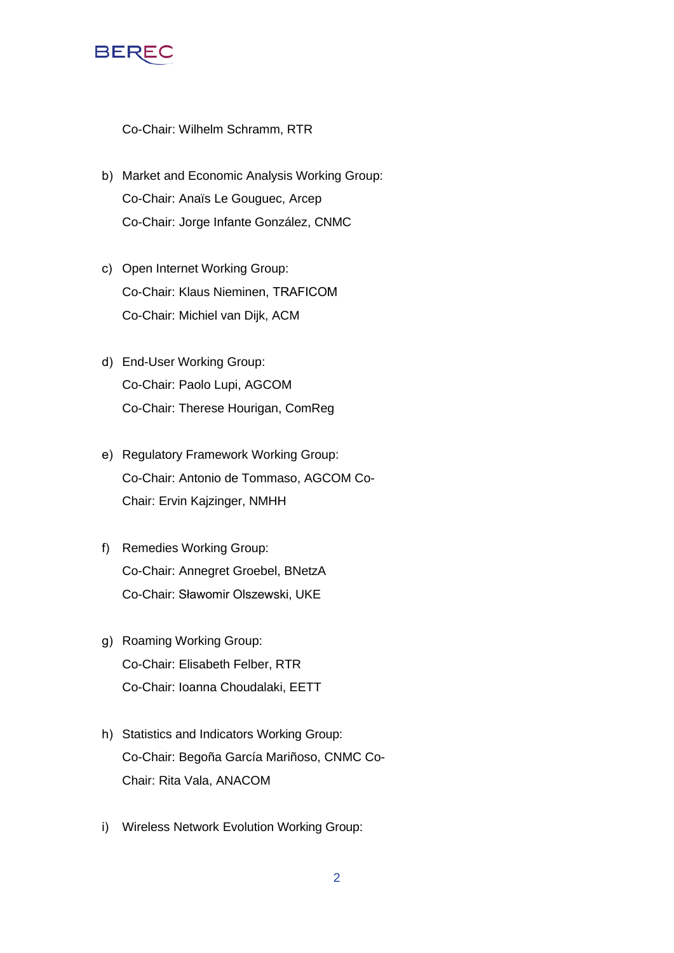

Co-Chair: Wilhelm Schramm, RTR

- b) Market and Economic Analysis Working Group: Co-Chair: Anaïs Le Gouguec, Arcep Co-Chair: Jorge Infante González, CNMC
- c) Open Internet Working Group: Co-Chair: Klaus Nieminen, TRAFICOM Co-Chair: Michiel van Dijk, ACM
- d) End-User Working Group: Co-Chair: Paolo Lupi, AGCOM Co-Chair: Therese Hourigan, ComReg
- e) Regulatory Framework Working Group: Co-Chair: Antonio de Tommaso, AGCOM Co-Chair: Ervin Kajzinger, NMHH
- f) Remedies Working Group: Co-Chair: Annegret Groebel, BNetzA Co-Chair: Sławomir Olszewski, UKE
- g) Roaming Working Group: Co-Chair: Elisabeth Felber, RTR Co-Chair: Ioanna Choudalaki, EETT
- h) Statistics and Indicators Working Group: Co-Chair: Begoña García Mariñoso, CNMC Co-Chair: Rita Vala, ANACOM
- i) Wireless Network Evolution Working Group: